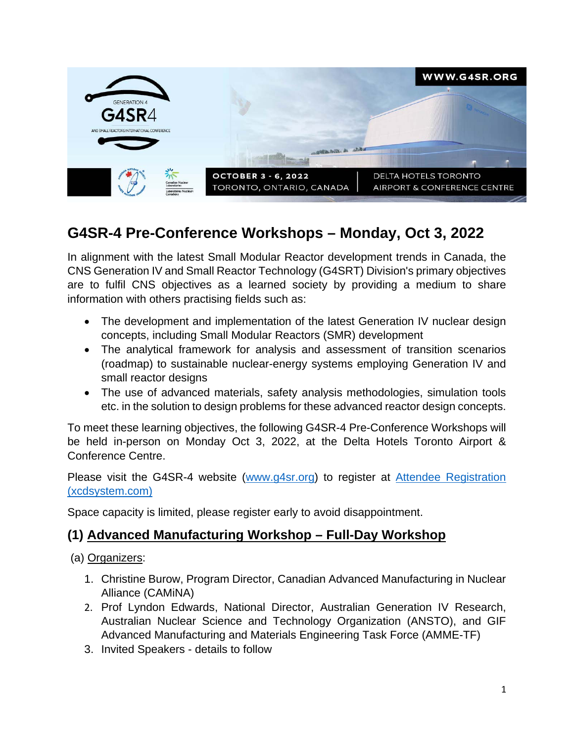

# **G4SR-4 Pre-Conference Workshops – Monday, Oct 3, 2022**

In alignment with the latest Small Modular Reactor development trends in Canada, the CNS Generation IV and Small Reactor Technology (G4SRT) Division's primary objectives are to fulfil CNS objectives as a learned society by providing a medium to share information with others practising fields such as:

- The development and implementation of the latest Generation IV nuclear design concepts, including Small Modular Reactors (SMR) development
- The analytical framework for analysis and assessment of transition scenarios (roadmap) to sustainable nuclear-energy systems employing Generation IV and small reactor designs
- The use of advanced materials, safety analysis methodologies, simulation tools etc. in the solution to design problems for these advanced reactor design concepts.

To meet these learning objectives, the following G4SR-4 Pre-Conference Workshops will be held in-person on Monday Oct 3, 2022, at the Delta Hotels Toronto Airport & Conference Centre.

Please visit the G4SR-4 website (www.g4sr.org) to register at Attendee Registration (xcdsystem.com)

Space capacity is limited, please register early to avoid disappointment.

### **(1) Advanced Manufacturing Workshop – Full-Day Workshop**

(a) Organizers:

- 1. Christine Burow, Program Director, Canadian Advanced Manufacturing in Nuclear Alliance (CAMiNA)
- 2. Prof Lyndon Edwards, National Director, Australian Generation IV Research, Australian Nuclear Science and Technology Organization (ANSTO), and GIF Advanced Manufacturing and Materials Engineering Task Force (AMME-TF)
- 3. Invited Speakers details to follow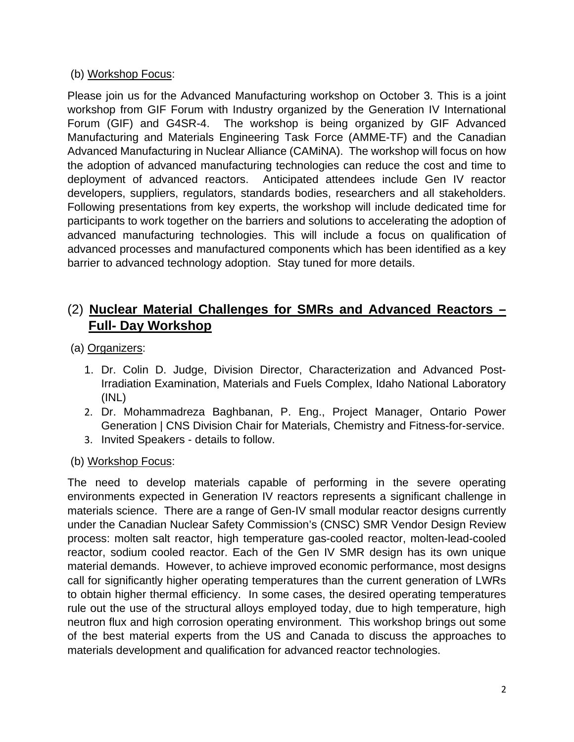#### (b) Workshop Focus:

Please join us for the Advanced Manufacturing workshop on October 3. This is a joint workshop from GIF Forum with Industry organized by the Generation IV International Forum (GIF) and G4SR-4. The workshop is being organized by GIF Advanced Manufacturing and Materials Engineering Task Force (AMME-TF) and the Canadian Advanced Manufacturing in Nuclear Alliance (CAMiNA). The workshop will focus on how the adoption of advanced manufacturing technologies can reduce the cost and time to deployment of advanced reactors. Anticipated attendees include Gen IV reactor developers, suppliers, regulators, standards bodies, researchers and all stakeholders. Following presentations from key experts, the workshop will include dedicated time for participants to work together on the barriers and solutions to accelerating the adoption of advanced manufacturing technologies. This will include a focus on qualification of advanced processes and manufactured components which has been identified as a key barrier to advanced technology adoption. Stay tuned for more details.

# (2) **Nuclear Material Challenges for SMRs and Advanced Reactors – Full- Day Workshop**

- (a) Organizers:
	- 1. Dr. Colin D. Judge, Division Director, Characterization and Advanced Post-Irradiation Examination, Materials and Fuels Complex, Idaho National Laboratory (INL)
	- 2. Dr. Mohammadreza Baghbanan, P. Eng., Project Manager, Ontario Power Generation | CNS Division Chair for Materials, Chemistry and Fitness-for-service.
	- 3. Invited Speakers details to follow.

#### (b) Workshop Focus:

The need to develop materials capable of performing in the severe operating environments expected in Generation IV reactors represents a significant challenge in materials science. There are a range of Gen-IV small modular reactor designs currently under the Canadian Nuclear Safety Commission's (CNSC) SMR Vendor Design Review process: molten salt reactor, high temperature gas-cooled reactor, molten-lead-cooled reactor, sodium cooled reactor. Each of the Gen IV SMR design has its own unique material demands. However, to achieve improved economic performance, most designs call for significantly higher operating temperatures than the current generation of LWRs to obtain higher thermal efficiency. In some cases, the desired operating temperatures rule out the use of the structural alloys employed today, due to high temperature, high neutron flux and high corrosion operating environment. This workshop brings out some of the best material experts from the US and Canada to discuss the approaches to materials development and qualification for advanced reactor technologies.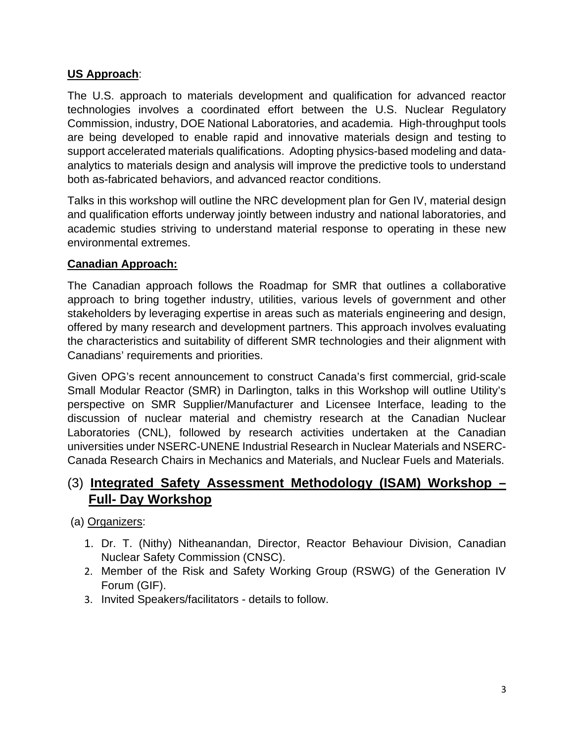#### **US Approach**:

The U.S. approach to materials development and qualification for advanced reactor technologies involves a coordinated effort between the U.S. Nuclear Regulatory Commission, industry, DOE National Laboratories, and academia. High-throughput tools are being developed to enable rapid and innovative materials design and testing to support accelerated materials qualifications. Adopting physics-based modeling and dataanalytics to materials design and analysis will improve the predictive tools to understand both as-fabricated behaviors, and advanced reactor conditions.

Talks in this workshop will outline the NRC development plan for Gen IV, material design and qualification efforts underway jointly between industry and national laboratories, and academic studies striving to understand material response to operating in these new environmental extremes.

#### **Canadian Approach:**

The Canadian approach follows the Roadmap for SMR that outlines a collaborative approach to bring together industry, utilities, various levels of government and other stakeholders by leveraging expertise in areas such as materials engineering and design, offered by many research and development partners. This approach involves evaluating the characteristics and suitability of different SMR technologies and their alignment with Canadians' requirements and priorities.

Given OPG's recent announcement to construct Canada's first commercial, grid-scale Small Modular Reactor (SMR) in Darlington, talks in this Workshop will outline Utility's perspective on SMR Supplier/Manufacturer and Licensee Interface, leading to the discussion of nuclear material and chemistry research at the Canadian Nuclear Laboratories (CNL), followed by research activities undertaken at the Canadian universities under NSERC-UNENE Industrial Research in Nuclear Materials and NSERC-Canada Research Chairs in Mechanics and Materials, and Nuclear Fuels and Materials.

### (3) **Integrated Safety Assessment Methodology (ISAM) Workshop – Full- Day Workshop**

(a) Organizers:

- 1. Dr. T. (Nithy) Nitheanandan, Director, Reactor Behaviour Division, Canadian Nuclear Safety Commission (CNSC).
- 2. Member of the Risk and Safety Working Group (RSWG) of the Generation IV Forum (GIF).
- 3. Invited Speakers/facilitators details to follow.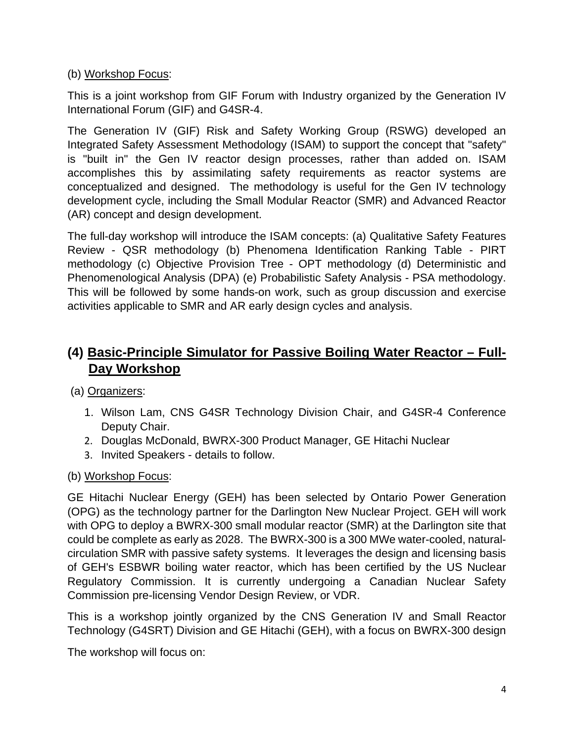#### (b) Workshop Focus:

This is a joint workshop from GIF Forum with Industry organized by the Generation IV International Forum (GIF) and G4SR-4.

The Generation IV (GIF) Risk and Safety Working Group (RSWG) developed an Integrated Safety Assessment Methodology (ISAM) to support the concept that "safety" is "built in" the Gen IV reactor design processes, rather than added on. ISAM accomplishes this by assimilating safety requirements as reactor systems are conceptualized and designed. The methodology is useful for the Gen IV technology development cycle, including the Small Modular Reactor (SMR) and Advanced Reactor (AR) concept and design development.

The full-day workshop will introduce the ISAM concepts: (a) Qualitative Safety Features Review - QSR methodology (b) Phenomena Identification Ranking Table - PIRT methodology (c) Objective Provision Tree - OPT methodology (d) Deterministic and Phenomenological Analysis (DPA) (e) Probabilistic Safety Analysis - PSA methodology. This will be followed by some hands-on work, such as group discussion and exercise activities applicable to SMR and AR early design cycles and analysis.

# **(4) Basic-Principle Simulator for Passive Boiling Water Reactor – Full-Day Workshop**

(a) Organizers:

- 1. Wilson Lam, CNS G4SR Technology Division Chair, and G4SR-4 Conference Deputy Chair.
- 2. Douglas McDonald, BWRX-300 Product Manager, GE Hitachi Nuclear
- 3. Invited Speakers details to follow.
- (b) Workshop Focus:

GE Hitachi Nuclear Energy (GEH) has been selected by Ontario Power Generation (OPG) as the technology partner for the Darlington New Nuclear Project. GEH will work with OPG to deploy a BWRX-300 small modular reactor (SMR) at the Darlington site that could be complete as early as 2028. The BWRX-300 is a 300 MWe water-cooled, naturalcirculation SMR with passive safety systems. It leverages the design and licensing basis of GEH's ESBWR boiling water reactor, which has been certified by the US Nuclear Regulatory Commission. It is currently undergoing a Canadian Nuclear Safety Commission pre-licensing Vendor Design Review, or VDR.

This is a workshop jointly organized by the CNS Generation IV and Small Reactor Technology (G4SRT) Division and GE Hitachi (GEH), with a focus on BWRX-300 design

The workshop will focus on: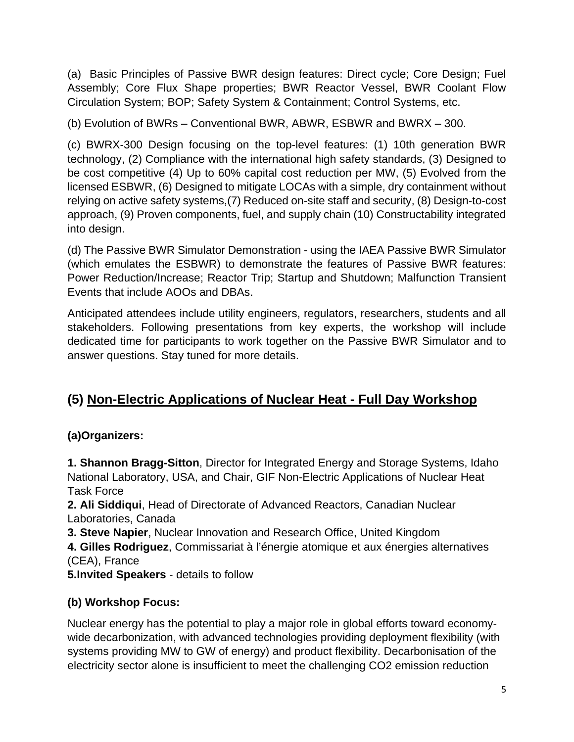(a) Basic Principles of Passive BWR design features: Direct cycle; Core Design; Fuel Assembly; Core Flux Shape properties; BWR Reactor Vessel, BWR Coolant Flow Circulation System; BOP; Safety System & Containment; Control Systems, etc.

(b) Evolution of BWRs – Conventional BWR, ABWR, ESBWR and BWRX – 300.

(c) BWRX-300 Design focusing on the top-level features: (1) 10th generation BWR technology, (2) Compliance with the international high safety standards, (3) Designed to be cost competitive (4) Up to 60% capital cost reduction per MW, (5) Evolved from the licensed ESBWR, (6) Designed to mitigate LOCAs with a simple, dry containment without relying on active safety systems,(7) Reduced on-site staff and security, (8) Design-to-cost approach, (9) Proven components, fuel, and supply chain (10) Constructability integrated into design.

(d) The Passive BWR Simulator Demonstration - using the IAEA Passive BWR Simulator (which emulates the ESBWR) to demonstrate the features of Passive BWR features: Power Reduction/Increase; Reactor Trip; Startup and Shutdown; Malfunction Transient Events that include AOOs and DBAs.

Anticipated attendees include utility engineers, regulators, researchers, students and all stakeholders. Following presentations from key experts, the workshop will include dedicated time for participants to work together on the Passive BWR Simulator and to answer questions. Stay tuned for more details.

# **(5) Non-Electric Applications of Nuclear Heat - Full Day Workshop**

**(a)Organizers:** 

**1. Shannon Bragg-Sitton**, Director for Integrated Energy and Storage Systems, Idaho National Laboratory, USA, and Chair, GIF Non-Electric Applications of Nuclear Heat Task Force

**2. Ali Siddiqui**, Head of Directorate of Advanced Reactors, Canadian Nuclear Laboratories, Canada

**3. Steve Napier**, Nuclear Innovation and Research Office, United Kingdom

**4. Gilles Rodriguez**, Commissariat à l'énergie atomique et aux énergies alternatives (CEA), France

**5.Invited Speakers** - details to follow

### **(b) Workshop Focus:**

Nuclear energy has the potential to play a major role in global efforts toward economywide decarbonization, with advanced technologies providing deployment flexibility (with systems providing MW to GW of energy) and product flexibility. Decarbonisation of the electricity sector alone is insufficient to meet the challenging CO2 emission reduction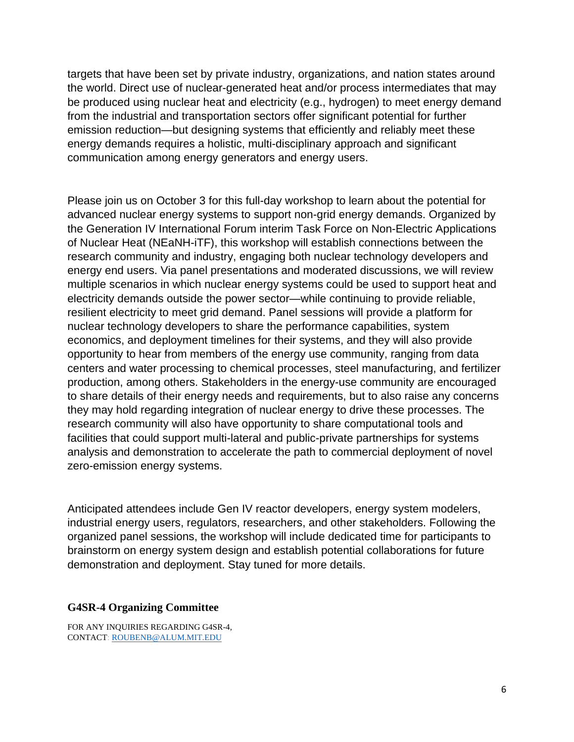targets that have been set by private industry, organizations, and nation states around the world. Direct use of nuclear-generated heat and/or process intermediates that may be produced using nuclear heat and electricity (e.g., hydrogen) to meet energy demand from the industrial and transportation sectors offer significant potential for further emission reduction—but designing systems that efficiently and reliably meet these energy demands requires a holistic, multi-disciplinary approach and significant communication among energy generators and energy users.

Please join us on October 3 for this full-day workshop to learn about the potential for advanced nuclear energy systems to support non-grid energy demands. Organized by the Generation IV International Forum interim Task Force on Non-Electric Applications of Nuclear Heat (NEaNH-iTF), this workshop will establish connections between the research community and industry, engaging both nuclear technology developers and energy end users. Via panel presentations and moderated discussions, we will review multiple scenarios in which nuclear energy systems could be used to support heat and electricity demands outside the power sector—while continuing to provide reliable, resilient electricity to meet grid demand. Panel sessions will provide a platform for nuclear technology developers to share the performance capabilities, system economics, and deployment timelines for their systems, and they will also provide opportunity to hear from members of the energy use community, ranging from data centers and water processing to chemical processes, steel manufacturing, and fertilizer production, among others. Stakeholders in the energy-use community are encouraged to share details of their energy needs and requirements, but to also raise any concerns they may hold regarding integration of nuclear energy to drive these processes. The research community will also have opportunity to share computational tools and facilities that could support multi-lateral and public-private partnerships for systems analysis and demonstration to accelerate the path to commercial deployment of novel zero-emission energy systems.

Anticipated attendees include Gen IV reactor developers, energy system modelers, industrial energy users, regulators, researchers, and other stakeholders. Following the organized panel sessions, the workshop will include dedicated time for participants to brainstorm on energy system design and establish potential collaborations for future demonstration and deployment. Stay tuned for more details.

#### **G4SR-4 Organizing Committee**

FOR ANY INQUIRIES REGARDING G4SR-4, CONTACT: ROUBENB@ALUM.MIT.EDU